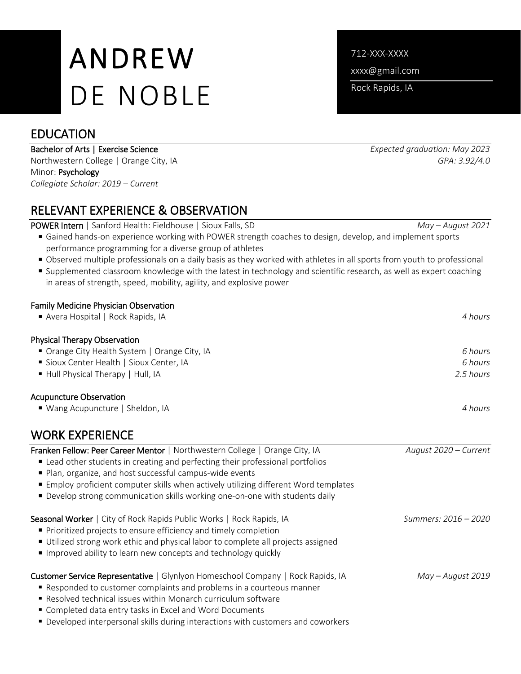# ANDREW DE NOBLE

## EDUCATION

#### Bachelor of Arts | Exercise Science *Expected graduation: May 2023*

Northwestern College | Orange City, IA *GPA: 3.92/4.0* Minor: Psychology *Collegiate Scholar: 2019 – Current*

# RELEVANT EXPERIENCE & OBSERVATION

POWER Intern | Sanford Health: Fieldhouse | Sioux Falls, SD *May – August 2021*

- Gained hands-on experience working with POWER strength coaches to design, develop, and implement sports performance programming for a diverse group of athletes
- Observed multiple professionals on a daily basis as they worked with athletes in all sports from youth to professional
- Supplemented classroom knowledge with the latest in technology and scientific research, as well as expert coaching in areas of strength, speed, mobility, agility, and explosive power

#### Family Medicine Physician Observation

| Avera Hospital   Rock Rapids, IA              | 4 hours   |
|-----------------------------------------------|-----------|
| Physical Therapy Observation                  |           |
| • Orange City Health System   Orange City, IA | 6 hours   |
| Sioux Center Health   Sioux Center, IA        | 6 hours   |
| Hull Physical Therapy   Hull, IA              | 2.5 hours |
| <b>Acupuncture Observation</b>                |           |
| ■ Wang Acupuncture   Sheldon, IA              | 4 hours   |

### WORK EXPERIENCE

Franken Fellow: Peer Career Mentor | Northwestern College | Orange City, IA *August 2020 – Current* ■ Lead other students in creating and perfecting their professional portfolios ■ Plan, organize, and host successful campus-wide events Employ proficient computer skills when actively utilizing different Word templates Develop strong communication skills working one-on-one with students daily Seasonal Worker | City of Rock Rapids Public Works | Rock Rapids, IA *Summers: 2016 – 2020* **Prioritized projects to ensure efficiency and timely completion**  Utilized strong work ethic and physical labor to complete all projects assigned **Improved ability to learn new concepts and technology quickly** Customer Service Representative | Glynlyon Homeschool Company | Rock Rapids, IA *May – August 2019* Responded to customer complaints and problems in a courteous manner Resolved technical issues within Monarch curriculum software Completed data entry tasks in Excel and Word Documents Developed interpersonal skills during interactions with customers and coworkers

712-XXX-XXXX

xxxx@gmail.com

Rock Rapids, IA